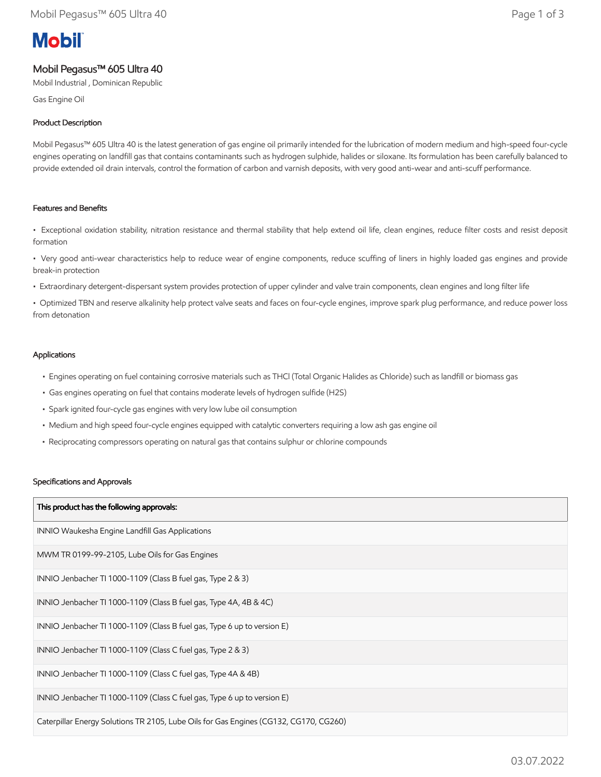# **Mobil**

# Mobil Pegasus™ 605 Ultra 40

Mobil Industrial , Dominican Republic

Gas Engine Oil

# Product Description

Mobil Pegasus™ 605 Ultra 40 is the latest generation of gas engine oil primarily intended for the lubrication of modern medium and high-speed four-cycle engines operating on landfill gas that contains contaminants such as hydrogen sulphide, halides or siloxane. Its formulation has been carefully balanced to provide extended oil drain intervals, control the formation of carbon and varnish deposits, with very good anti-wear and anti-scuff performance.

# Features and Benefits

• Exceptional oxidation stability, nitration resistance and thermal stability that help extend oil life, clean engines, reduce filter costs and resist deposit formation

• Very good anti-wear characteristics help to reduce wear of engine components, reduce scuffing of liners in highly loaded gas engines and provide break-in protection

• Extraordinary detergent-dispersant system provides protection of upper cylinder and valve train components, clean engines and long filter life

• Optimized TBN and reserve alkalinity help protect valve seats and faces on four-cycle engines, improve spark plug performance, and reduce power loss from detonation

# Applications

- Engines operating on fuel containing corrosive materials such as THCl (Total Organic Halides as Chloride) such as landfill or biomass gas
- Gas engines operating on fuel that contains moderate levels of hydrogen sulfide (H2S)
- Spark ignited four-cycle gas engines with very low lube oil consumption
- Medium and high speed four-cycle engines equipped with catalytic converters requiring a low ash gas engine oil
- Reciprocating compressors operating on natural gas that contains sulphur or chlorine compounds

#### Specifications and Approvals

| This product has the following approvals:                                             |
|---------------------------------------------------------------------------------------|
| INNIO Waukesha Engine Landfill Gas Applications                                       |
| MWM TR 0199-99-2105, Lube Oils for Gas Engines                                        |
| INNIO Jenbacher TI 1000-1109 (Class B fuel gas, Type 2 & 3)                           |
| INNIO Jenbacher TI 1000-1109 (Class B fuel gas, Type 4A, 4B & 4C)                     |
| INNIO Jenbacher TI 1000-1109 (Class B fuel gas, Type 6 up to version E)               |
| INNIO Jenbacher TI 1000-1109 (Class C fuel gas, Type 2 & 3)                           |
| INNIO Jenbacher TI 1000-1109 (Class C fuel gas, Type 4A & 4B)                         |
| INNIO Jenbacher TI 1000-1109 (Class C fuel gas, Type 6 up to version E)               |
| Caterpillar Energy Solutions TR 2105, Lube Oils for Gas Engines (CG132, CG170, CG260) |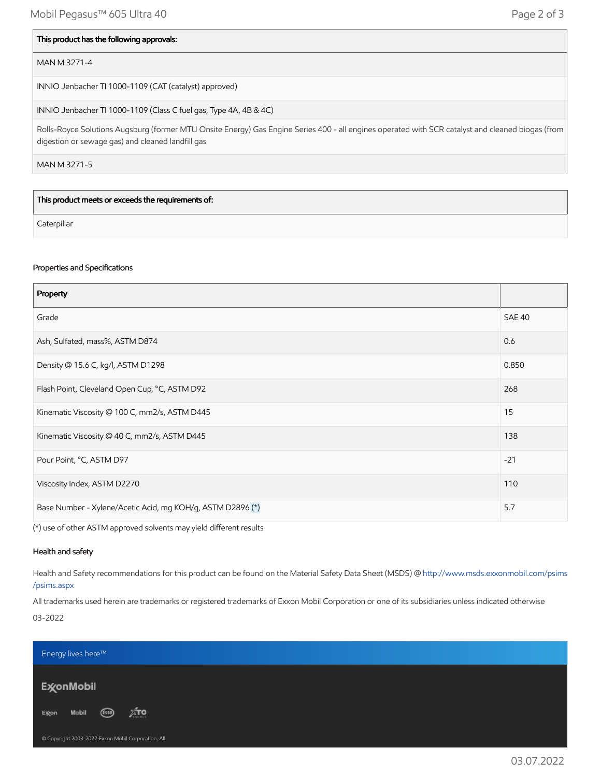#### This product has the following approvals:

# MAN M 3271-4

INNIO Jenbacher TI 1000-1109 (CAT (catalyst) approved)

INNIO Jenbacher TI 1000-1109 (Class C fuel gas, Type 4A, 4B & 4C)

Rolls-Royce Solutions Augsburg (former MTU Onsite Energy) Gas Engine Series 400 - all engines operated with SCR catalyst and cleaned biogas (from digestion or sewage gas) and cleaned landfill gas

MAN M 3271-5

This product meets or exceeds the requirements of:

**Caterpillar** 

#### Properties and Specifications

| Property                                                   |               |
|------------------------------------------------------------|---------------|
| Grade                                                      | <b>SAE 40</b> |
| Ash, Sulfated, mass%, ASTM D874                            | 0.6           |
| Density @ 15.6 C, kg/l, ASTM D1298                         | 0.850         |
| Flash Point, Cleveland Open Cup, °C, ASTM D92              | 268           |
| Kinematic Viscosity @ 100 C, mm2/s, ASTM D445              | 15            |
| Kinematic Viscosity @ 40 C, mm2/s, ASTM D445               | 138           |
| Pour Point, °C, ASTM D97                                   | $-21$         |
| Viscosity Index, ASTM D2270                                | 110           |
| Base Number - Xylene/Acetic Acid, mg KOH/g, ASTM D2896 (*) | 5.7           |

(\*) use of other ASTM approved solvents may yield different results

# Health and safety

Health and Safety recommendations for this product can be found on the Material Safety Data Sheet (MSDS) @ [http://www.msds.exxonmobil.com/psims](http://www.msds.exxonmobil.com/psims/psims.aspx) /psims.aspx

All trademarks used herein are trademarks or registered trademarks of Exxon Mobil Corporation or one of its subsidiaries unless indicated otherwise 03-2022